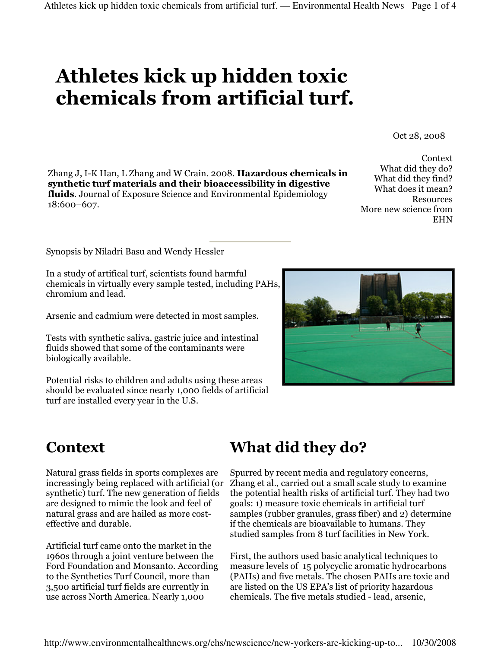# Athletes kick up hidden toxic chemicals from artificial turf.

Oct 28, 2008

Zhang J, I-K Han, L Zhang and W Crain. 2008. Hazardous chemicals in synthetic turf materials and their bioaccessibility in digestive fluids. Journal of Exposure Science and Environmental Epidemiology 18:600–607.

Context What did they do? What did they find? What does it mean? **Resources** More new science from EHN

Synopsis by Niladri Basu and Wendy Hessler

In a study of artifical turf, scientists found harmful chemicals in virtually every sample tested, including PAHs, chromium and lead.

Arsenic and cadmium were detected in most samples.

Tests with synthetic saliva, gastric juice and intestinal fluids showed that some of the contaminants were biologically available.

Potential risks to children and adults using these areas should be evaluated since nearly 1,000 fields of artificial turf are installed every year in the U.S.

#### **Context**

Natural grass fields in sports complexes are increasingly being replaced with artificial (or synthetic) turf. The new generation of fields are designed to mimic the look and feel of natural grass and are hailed as more costeffective and durable.

Artificial turf came onto the market in the 1960s through a joint venture between the Ford Foundation and Monsanto. According to the Synthetics Turf Council, more than 3,500 artificial turf fields are currently in use across North America. Nearly 1,000

# What did they do?

Spurred by recent media and regulatory concerns, Zhang et al., carried out a small scale study to examine the potential health risks of artificial turf. They had two goals: 1) measure toxic chemicals in artificial turf samples (rubber granules, grass fiber) and 2) determine if the chemicals are bioavailable to humans. They studied samples from 8 turf facilities in New York.

First, the authors used basic analytical techniques to measure levels of 15 polycyclic aromatic hydrocarbons (PAHs) and five metals. The chosen PAHs are toxic and are listed on the US EPA's list of priority hazardous chemicals. The five metals studied - lead, arsenic,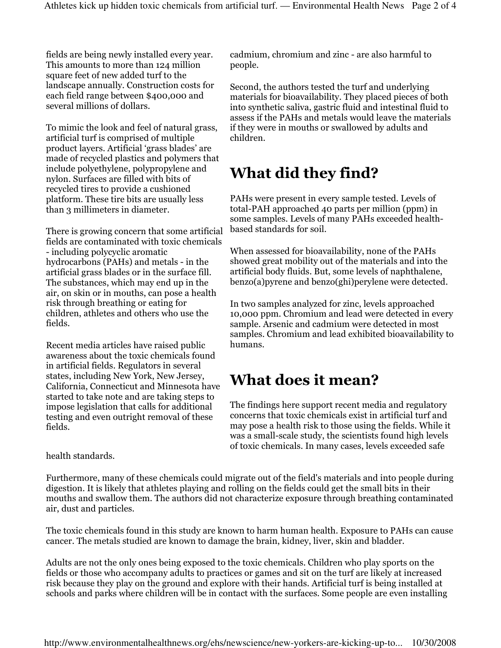fields are being newly installed every year. This amounts to more than 124 million square feet of new added turf to the landscape annually. Construction costs for each field range between \$400,000 and several millions of dollars.

To mimic the look and feel of natural grass, artificial turf is comprised of multiple product layers. Artificial 'grass blades' are made of recycled plastics and polymers that include polyethylene, polypropylene and nylon. Surfaces are filled with bits of recycled tires to provide a cushioned platform. These tire bits are usually less than 3 millimeters in diameter.

There is growing concern that some artificial fields are contaminated with toxic chemicals - including polycyclic aromatic hydrocarbons (PAHs) and metals - in the artificial grass blades or in the surface fill. The substances, which may end up in the air, on skin or in mouths, can pose a health risk through breathing or eating for children, athletes and others who use the fields.

Recent media articles have raised public awareness about the toxic chemicals found in artificial fields. Regulators in several states, including New York, New Jersey, California, Connecticut and Minnesota have started to take note and are taking steps to impose legislation that calls for additional testing and even outright removal of these fields.

health standards.

cadmium, chromium and zinc - are also harmful to people.

Second, the authors tested the turf and underlying materials for bioavailability. They placed pieces of both into synthetic saliva, gastric fluid and intestinal fluid to assess if the PAHs and metals would leave the materials if they were in mouths or swallowed by adults and children.

# What did they find?

PAHs were present in every sample tested. Levels of total-PAH approached 40 parts per million (ppm) in some samples. Levels of many PAHs exceeded healthbased standards for soil.

When assessed for bioavailability, none of the PAHs showed great mobility out of the materials and into the artificial body fluids. But, some levels of naphthalene, benzo(a)pyrene and benzo(ghi)perylene were detected.

In two samples analyzed for zinc, levels approached 10,000 ppm. Chromium and lead were detected in every sample. Arsenic and cadmium were detected in most samples. Chromium and lead exhibited bioavailability to humans.

## What does it mean?

The findings here support recent media and regulatory concerns that toxic chemicals exist in artificial turf and may pose a health risk to those using the fields. While it was a small-scale study, the scientists found high levels of toxic chemicals. In many cases, levels exceeded safe

Furthermore, many of these chemicals could migrate out of the field's materials and into people during digestion. It is likely that athletes playing and rolling on the fields could get the small bits in their mouths and swallow them. The authors did not characterize exposure through breathing contaminated air, dust and particles.

The toxic chemicals found in this study are known to harm human health. Exposure to PAHs can cause cancer. The metals studied are known to damage the brain, kidney, liver, skin and bladder.

Adults are not the only ones being exposed to the toxic chemicals. Children who play sports on the fields or those who accompany adults to practices or games and sit on the turf are likely at increased risk because they play on the ground and explore with their hands. Artificial turf is being installed at schools and parks where children will be in contact with the surfaces. Some people are even installing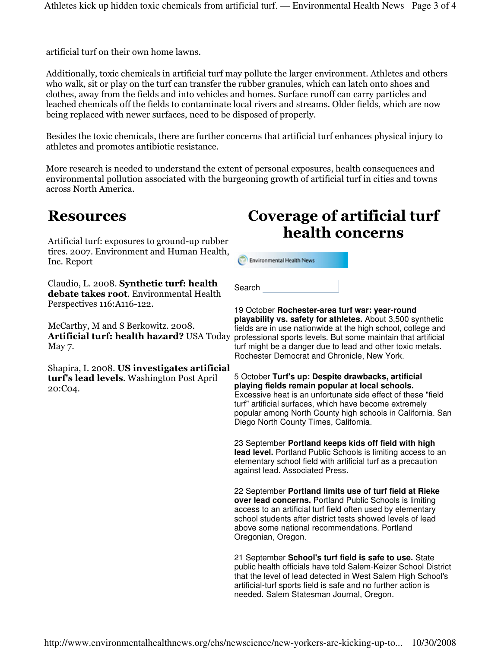artificial turf on their own home lawns.

Additionally, toxic chemicals in artificial turf may pollute the larger environment. Athletes and others who walk, sit or play on the turf can transfer the rubber granules, which can latch onto shoes and clothes, away from the fields and into vehicles and homes. Surface runoff can carry particles and leached chemicals off the fields to contaminate local rivers and streams. Older fields, which are now being replaced with newer surfaces, need to be disposed of properly.

Besides the toxic chemicals, there are further concerns that artificial turf enhances physical injury to athletes and promotes antibiotic resistance.

More research is needed to understand the extent of personal exposures, health consequences and environmental pollution associated with the burgeoning growth of artificial turf in cities and towns across North America.

#### **Resources**

Artificial turf: exposures to ground-up rubber tires. 2007. Environment and Human Health, Inc. Report

Claudio, L. 2008. Synthetic turf: health debate takes root. Environmental Health Perspectives 116:A116-122.

McCarthy, M and S Berkowitz. 2008. Artificial turf: health hazard? USA Today May 7.

Shapira, I. 2008. US investigates artificial turf's lead levels. Washington Post April 20:C04.

### Coverage of artificial turf health concerns

**Environmental Health News** 

Search

19 October **Rochester-area turf war: year-round** 

**playability vs. safety for athletes.** About 3,500 synthetic fields are in use nationwide at the high school, college and professional sports levels. But some maintain that artificial turf might be a danger due to lead and other toxic metals. Rochester Democrat and Chronicle, New York.

5 October **Turf's up: Despite drawbacks, artificial playing fields remain popular at local schools.** Excessive heat is an unfortunate side effect of these "field turf" artificial surfaces, which have become extremely popular among North County high schools in California. San Diego North County Times, California.

23 September **Portland keeps kids off field with high lead level.** Portland Public Schools is limiting access to an elementary school field with artificial turf as a precaution against lead. Associated Press.

22 September **Portland limits use of turf field at Rieke over lead concerns.** Portland Public Schools is limiting access to an artificial turf field often used by elementary school students after district tests showed levels of lead above some national recommendations. Portland Oregonian, Oregon.

21 September **School's turf field is safe to use.** State public health officials have told Salem-Keizer School District that the level of lead detected in West Salem High School's artificial-turf sports field is safe and no further action is needed. Salem Statesman Journal, Oregon.